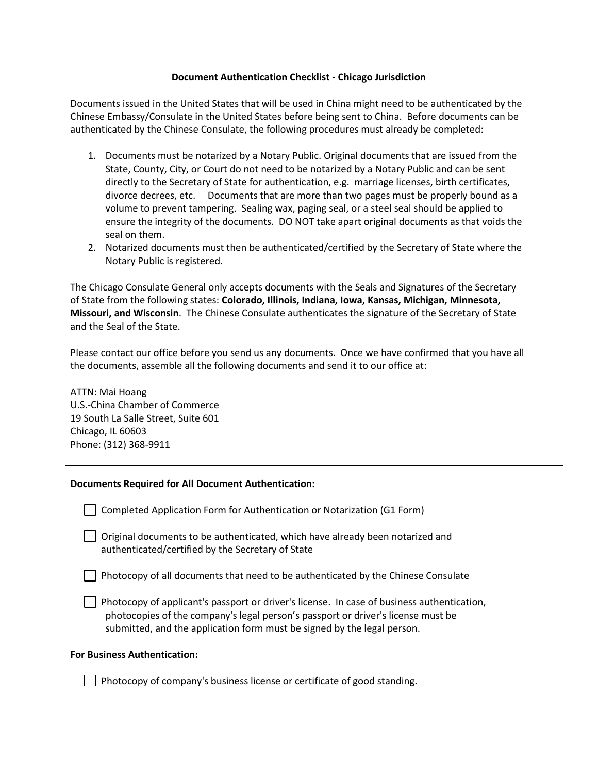### **Document Authentication Checklist - Chicago Jurisdiction**

Documents issued in the United States that will be used in China might need to be authenticated by the Chinese Embassy/Consulate in the United States before being sent to China. Before documents can be authenticated by the Chinese Consulate, the following procedures must already be completed:

- 1. Documents must be notarized by a Notary Public. Original documents that are issued from the State, County, City, or Court do not need to be notarized by a Notary Public and can be sent directly to the Secretary of State for authentication, e.g. marriage licenses, birth certificates, divorce decrees, etc. Documents that are more than two pages must be properly bound as a volume to prevent tampering. Sealing wax, paging seal, or a steel seal should be applied to ensure the integrity of the documents. DO NOT take apart original documents as that voids the seal on them.
- 2. Notarized documents must then be authenticated/certified by the Secretary of State where the Notary Public is registered.

The Chicago Consulate General only accepts documents with the Seals and Signatures of the Secretary of State from the following states: **Colorado, Illinois, Indiana, Iowa, Kansas, Michigan, Minnesota, Missouri, and Wisconsin**. The Chinese Consulate authenticates the signature of the Secretary of State and the Seal of the State.

Please contact our office before you send us any documents. Once we have confirmed that you have all the documents, assemble all the following documents and send it to our office at:

ATTN: Mai Hoang U.S.-China Chamber of Commerce 19 South La Salle Street, Suite 601 Chicago, IL 60603 Phone: (312) 368-9911

#### **Documents Required for All Document Authentication:**

| Completed Application Form for Authentication or Notarization (G1 Form) |  |  |
|-------------------------------------------------------------------------|--|--|
|-------------------------------------------------------------------------|--|--|

 $\Box$  Original documents to be authenticated, which have already been notarized and authenticated/certified by the Secretary of State

 $\Box$  Photocopy of all documents that need to be authenticated by the Chinese Consulate

 $\Box$  Photocopy of applicant's passport or driver's license. In case of business authentication, photocopies of the company's legal person's passport or driver's license must be submitted, and the application form must be signed by the legal person.

#### **For Business Authentication:**

 $\Box$  Photocopy of company's business license or certificate of good standing.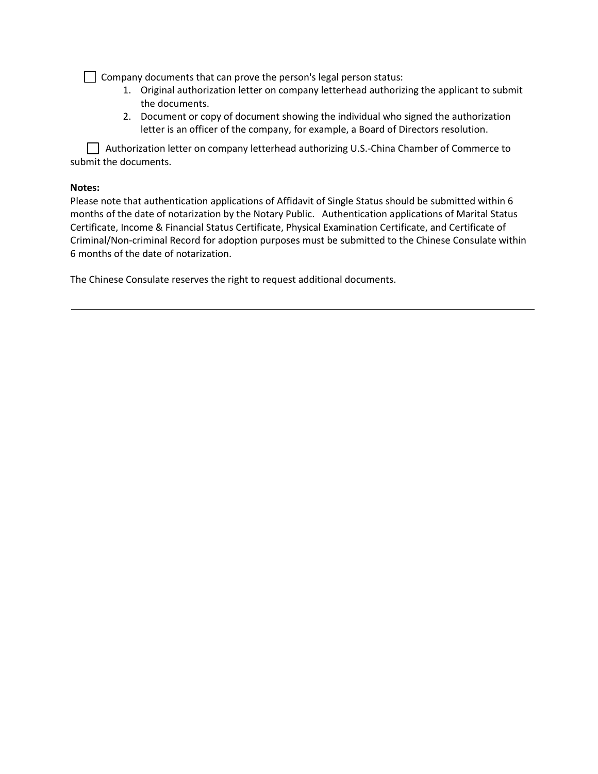$\Box$  Company documents that can prove the person's legal person status:

- 1. Original authorization letter on company letterhead authorizing the applicant to submit the documents.
- 2. Document or copy of document showing the individual who signed the authorization letter is an officer of the company, for example, a Board of Directors resolution.

Authorization letter on company letterhead authorizing U.S.-China Chamber of Commerce to submit the documents.

### **Notes:**

Please note that authentication applications of Affidavit of Single Status should be submitted within 6 months of the date of notarization by the Notary Public. Authentication applications of Marital Status Certificate, Income & Financial Status Certificate, Physical Examination Certificate, and Certificate of Criminal/Non-criminal Record for adoption purposes must be submitted to the Chinese Consulate within 6 months of the date of notarization.

The Chinese Consulate reserves the right to request additional documents.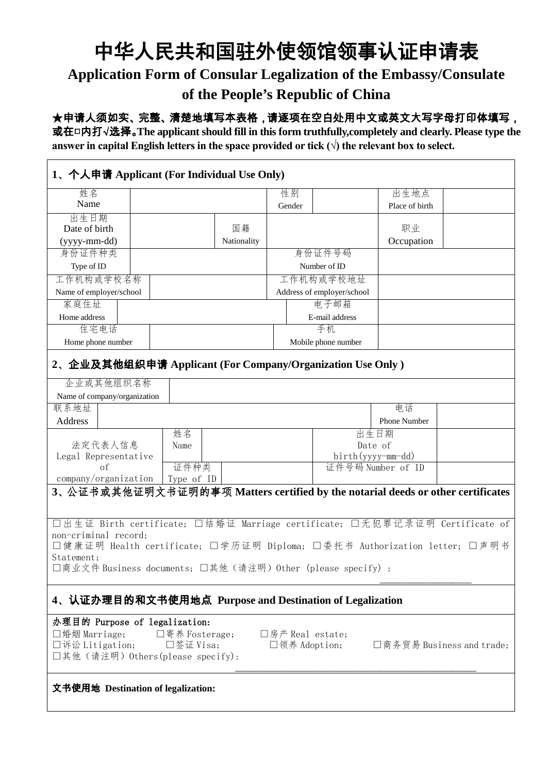## 中华人民共和国驻外使领馆领事认证申请表

# **Application Form of Consular Legalization of the Embassy/Consulate**

**of the People's Republic of China**

### ★申请人须如实、完整、清楚地填写本表格,请逐项在空白处用中文或英文大写字母打印体填写,

或在□内打√选择。**The applicant should fill in this form truthfully,completely and clearly. Please type the**  answer in capital English letters in the space provided or tick  $(\forall)$  the relevant box to select.

| 1、个人申请 Applicant (For Individual Use Only)                                                                                                                                                              |  |            |             |        |                            |                 |  |
|---------------------------------------------------------------------------------------------------------------------------------------------------------------------------------------------------------|--|------------|-------------|--------|----------------------------|-----------------|--|
| 姓名                                                                                                                                                                                                      |  |            |             | 性别     |                            | 出生地点            |  |
| Name                                                                                                                                                                                                    |  |            |             | Gender |                            | Place of birth  |  |
| 出生日期                                                                                                                                                                                                    |  |            |             |        |                            |                 |  |
| Date of birth                                                                                                                                                                                           |  |            | 国籍          |        |                            | 职业              |  |
| $(yyyy-mm-dd)$                                                                                                                                                                                          |  |            | Nationality |        |                            | Occupation      |  |
| 身份证件种类                                                                                                                                                                                                  |  |            |             |        | 身份证件号码                     |                 |  |
| Type of ID                                                                                                                                                                                              |  |            |             |        | Number of ID               |                 |  |
| 工作机构或学校名称                                                                                                                                                                                               |  |            |             |        | 工作机构或学校地址                  |                 |  |
| Name of employer/school                                                                                                                                                                                 |  |            |             |        | Address of employer/school |                 |  |
| 家庭住址                                                                                                                                                                                                    |  |            |             |        | 电子邮箱                       |                 |  |
| Home address                                                                                                                                                                                            |  |            |             |        | E-mail address             |                 |  |
| 住宅电话                                                                                                                                                                                                    |  |            |             |        | 手机                         |                 |  |
| Home phone number                                                                                                                                                                                       |  |            |             |        | Mobile phone number        |                 |  |
| 2、企业及其他组织申请 Applicant (For Company/Organization Use Only)                                                                                                                                               |  |            |             |        |                            |                 |  |
| 企业或其他组织名称                                                                                                                                                                                               |  |            |             |        |                            |                 |  |
| Name of company/organization                                                                                                                                                                            |  |            |             |        |                            |                 |  |
| 联系地址                                                                                                                                                                                                    |  |            |             |        |                            | 电话              |  |
| <b>Address</b>                                                                                                                                                                                          |  |            |             |        |                            | Phone Number    |  |
| 法定代表人信息                                                                                                                                                                                                 |  | 姓名<br>Name |             |        |                            | 出生日期<br>Date of |  |
|                                                                                                                                                                                                         |  |            |             |        |                            |                 |  |
| birth (yyyy-mm-dd)<br>Legal Representative<br>证件种类<br>证件号码 Number of ID<br>of                                                                                                                           |  |            |             |        |                            |                 |  |
| company/organization                                                                                                                                                                                    |  | Type of ID |             |        |                            |                 |  |
|                                                                                                                                                                                                         |  |            |             |        |                            |                 |  |
| 3、公证书或其他证明文书证明的事项 Matters certified by the notarial deeds or other certificates                                                                                                                         |  |            |             |        |                            |                 |  |
| □出生证 Birth certificate; □结婚证 Marriage certificate; □无犯罪记录证明 Certificate of                                                                                                                              |  |            |             |        |                            |                 |  |
|                                                                                                                                                                                                         |  |            |             |        |                            |                 |  |
| non-criminal record;                                                                                                                                                                                    |  |            |             |        |                            |                 |  |
| □健康证明 Health certificate; □学历证明 Diploma; □委托书 Authorization letter; □声明书<br>Statement;                                                                                                                  |  |            |             |        |                            |                 |  |
| □商业文件 Business documents; □其他(请注明)Other(please specify):                                                                                                                                                |  |            |             |        |                            |                 |  |
|                                                                                                                                                                                                         |  |            |             |        |                            |                 |  |
| 4、认证办理目的和文书使用地点 Purpose and Destination of Legalization                                                                                                                                                 |  |            |             |        |                            |                 |  |
| 办理目的 Purpose of legalization:<br>□婚姻 Marriage;<br>□寄养 Fosterage;<br>□房产 Real estate;<br>□签证 Visa;<br>□诉讼 Litigation;<br>□领养 Adoption;<br>□商务贸易 Business and trade;<br>□其他 (请注明) 0thers(please specify): |  |            |             |        |                            |                 |  |
| 文书使用地 Destination of legalization:                                                                                                                                                                      |  |            |             |        |                            |                 |  |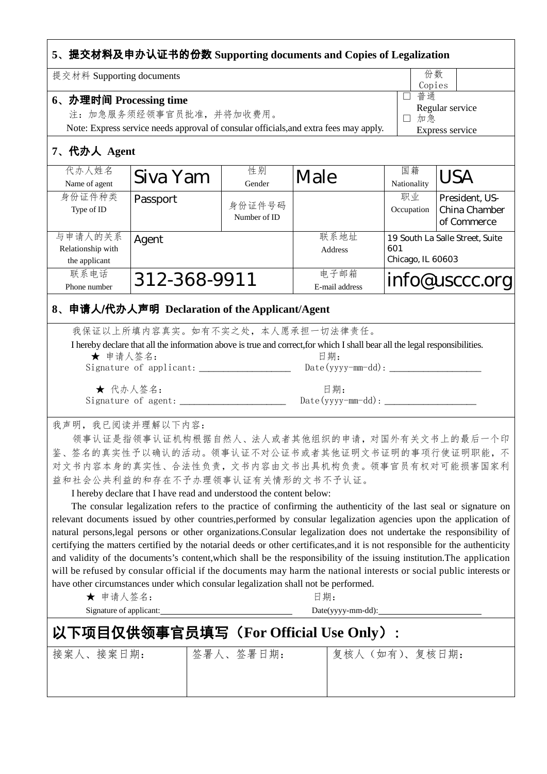| 5、提交材料及申办认证书的份数 Supporting documents and Copies of Legalization                                                                                                                                                                                                                                                                                                                                                                                                                                                                                                                                                                                                                                                                                                                                                                                                                                                                                                                                                                                                                                                                                                                                                                                                                                                     |                                                |                        |                        |                          |                                                    |  |  |
|---------------------------------------------------------------------------------------------------------------------------------------------------------------------------------------------------------------------------------------------------------------------------------------------------------------------------------------------------------------------------------------------------------------------------------------------------------------------------------------------------------------------------------------------------------------------------------------------------------------------------------------------------------------------------------------------------------------------------------------------------------------------------------------------------------------------------------------------------------------------------------------------------------------------------------------------------------------------------------------------------------------------------------------------------------------------------------------------------------------------------------------------------------------------------------------------------------------------------------------------------------------------------------------------------------------------|------------------------------------------------|------------------------|------------------------|--------------------------|----------------------------------------------------|--|--|
| 份数<br>提交材料 Supporting documents<br>Copies                                                                                                                                                                                                                                                                                                                                                                                                                                                                                                                                                                                                                                                                                                                                                                                                                                                                                                                                                                                                                                                                                                                                                                                                                                                                           |                                                |                        |                        |                          |                                                    |  |  |
| 6、办理时间 Processing time<br>注: 加急服务须经领事官员批准, 并将加收费用。<br>Note: Express service needs approval of consular officials, and extra fees may apply.                                                                                                                                                                                                                                                                                                                                                                                                                                                                                                                                                                                                                                                                                                                                                                                                                                                                                                                                                                                                                                                                                                                                                                         |                                                |                        |                        |                          | □ 普通<br>Regular service<br>□ 加急<br>Express service |  |  |
| 7、代办人 Agent                                                                                                                                                                                                                                                                                                                                                                                                                                                                                                                                                                                                                                                                                                                                                                                                                                                                                                                                                                                                                                                                                                                                                                                                                                                                                                         |                                                |                        |                        |                          |                                                    |  |  |
| 代办人姓名<br>Name of agent                                                                                                                                                                                                                                                                                                                                                                                                                                                                                                                                                                                                                                                                                                                                                                                                                                                                                                                                                                                                                                                                                                                                                                                                                                                                                              | Siva Yam                                       | 性别<br>Gender           | Male                   | 国籍<br>Nationality        | USA                                                |  |  |
| 身份证件种类<br>Type of ID                                                                                                                                                                                                                                                                                                                                                                                                                                                                                                                                                                                                                                                                                                                                                                                                                                                                                                                                                                                                                                                                                                                                                                                                                                                                                                | Passport                                       | 身份证件号码<br>Number of ID |                        | 职业<br>Occupation         | President, US-<br>China Chamber<br>of Commerce     |  |  |
| 与申请人的关系<br>Relationship with<br>the applicant                                                                                                                                                                                                                                                                                                                                                                                                                                                                                                                                                                                                                                                                                                                                                                                                                                                                                                                                                                                                                                                                                                                                                                                                                                                                       | Agent                                          |                        | 联系地址<br><b>Address</b> | 601<br>Chicago, IL 60603 | 19 South La Salle Street, Suite                    |  |  |
| 联系电话<br>Phone number                                                                                                                                                                                                                                                                                                                                                                                                                                                                                                                                                                                                                                                                                                                                                                                                                                                                                                                                                                                                                                                                                                                                                                                                                                                                                                | 312-368-9911                                   |                        | 电子邮箱<br>E-mail address |                          | info@usccc.org                                     |  |  |
|                                                                                                                                                                                                                                                                                                                                                                                                                                                                                                                                                                                                                                                                                                                                                                                                                                                                                                                                                                                                                                                                                                                                                                                                                                                                                                                     | 8、申请人/代办人声明 Declaration of the Applicant/Agent |                        |                        |                          |                                                    |  |  |
| I hereby declare that all the information above is true and correct, for which I shall bear all the legal responsibilities.<br>★ 申请人签名:<br>日期:<br>Signature of applicant: __________________________ Date(yyyy-mm-dd): _______________________________<br>★ 代办人签名:<br>日期:<br>我声明,我已阅读并理解以下内容:<br>领事认证是指领事认证机构根据自然人、法人或者其他组织的申请,对国外有关文书上的最后一个印<br>签名的真实性予以确认的活动。领事认证不对公证书或者其他证明文书证明的事项行使证明职能,不<br>鉴、<br>对文书内容本身的真实性、合法性负责,文书内容由文书出具机构负责。领事官员有权对可能损害国家利<br>益和社会公共利益的和存在不予办理领事认证有关情形的文书不予认证。<br>I hereby declare that I have read and understood the content below:<br>The consular legalization refers to the practice of confirming the authenticity of the last seal or signature on<br>relevant documents issued by other countries, performed by consular legalization agencies upon the application of<br>natural persons, legal persons or other organizations. Consular legalization does not undertake the responsibility of<br>certifying the matters certified by the notarial deeds or other certificates, and it is not responsible for the authenticity<br>and validity of the documents's content, which shall be the responsibility of the issuing institution. The application<br>will be refused by consular official if the documents may harm the national interests or social public interests or |                                                |                        |                        |                          |                                                    |  |  |
| ★ 申请人签名:<br>日期:<br>Date(yyyy-mm-dd):                                                                                                                                                                                                                                                                                                                                                                                                                                                                                                                                                                                                                                                                                                                                                                                                                                                                                                                                                                                                                                                                                                                                                                                                                                                                                |                                                |                        |                        |                          |                                                    |  |  |
| 以下项目仅供领事官员填写 (For Official Use Only):                                                                                                                                                                                                                                                                                                                                                                                                                                                                                                                                                                                                                                                                                                                                                                                                                                                                                                                                                                                                                                                                                                                                                                                                                                                                               |                                                |                        |                        |                          |                                                    |  |  |
| 接案人、接案日期:                                                                                                                                                                                                                                                                                                                                                                                                                                                                                                                                                                                                                                                                                                                                                                                                                                                                                                                                                                                                                                                                                                                                                                                                                                                                                                           |                                                | 签署人、签署日期:              |                        | 复核人(如有)、复核日期:            |                                                    |  |  |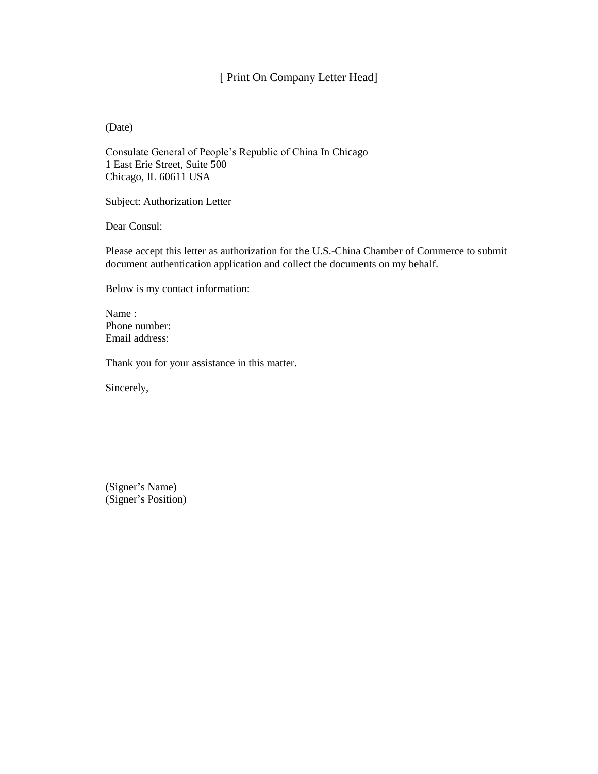### [ Print On Company Letter Head]

(Date)

Consulate General of People's Republic of China In Chicago 1 East Erie Street, Suite 500 Chicago, IL 60611 USA

Subject: Authorization Letter

Dear Consul:

Please accept this letter as authorization for the U.S.-China Chamber of Commerce to submit document authentication application and collect the documents on my behalf.

Below is my contact information:

Name : Phone number: Email address:

Thank you for your assistance in this matter.

Sincerely,

(Signer's Name) (Signer's Position)